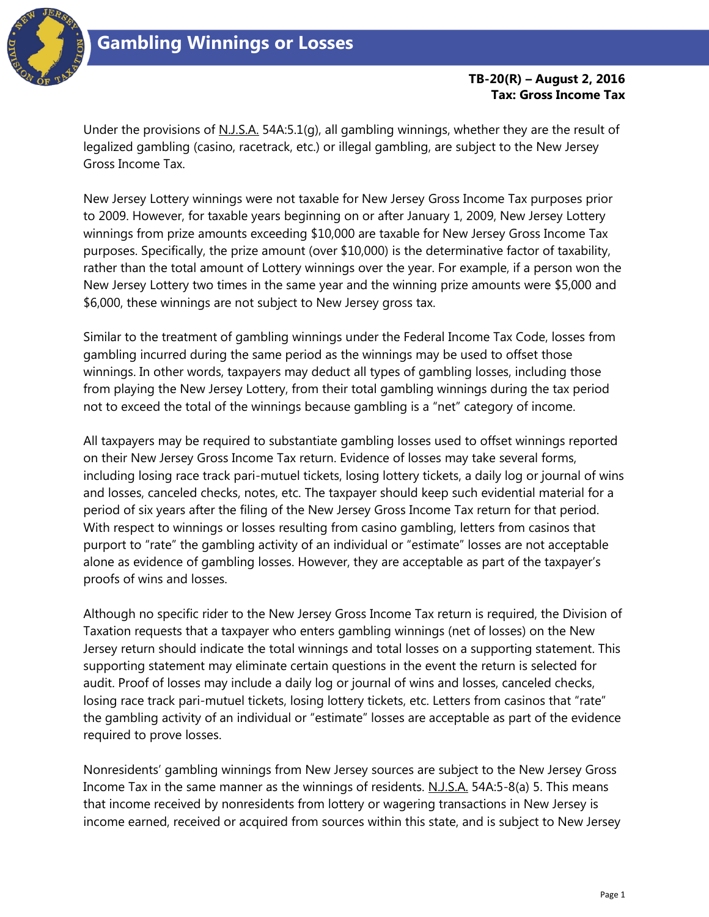

## **Gambling Winnings or Losses**

## **TB-20(R) – August 2, 2016 Tax: Gross Income Tax**

Under the provisions of N.J.S.A. 54A:5.1(g), all gambling winnings, whether they are the result of legalized gambling (casino, racetrack, etc.) or illegal gambling, are subject to the New Jersey Gross Income Tax.

New Jersey Lottery winnings were not taxable for New Jersey Gross Income Tax purposes prior to 2009. However, for taxable years beginning on or after January 1, 2009, New Jersey Lottery winnings from prize amounts exceeding \$10,000 are taxable for New Jersey Gross Income Tax purposes. Specifically, the prize amount (over \$10,000) is the determinative factor of taxability, rather than the total amount of Lottery winnings over the year. For example, if a person won the New Jersey Lottery two times in the same year and the winning prize amounts were \$5,000 and \$6,000, these winnings are not subject to New Jersey gross tax.

Similar to the treatment of gambling winnings under the Federal Income Tax Code, losses from gambling incurred during the same period as the winnings may be used to offset those winnings. In other words, taxpayers may deduct all types of gambling losses, including those from playing the New Jersey Lottery, from their total gambling winnings during the tax period not to exceed the total of the winnings because gambling is a "net" category of income.

All taxpayers may be required to substantiate gambling losses used to offset winnings reported on their New Jersey Gross Income Tax return. Evidence of losses may take several forms, including losing race track pari-mutuel tickets, losing lottery tickets, a daily log or journal of wins and losses, canceled checks, notes, etc. The taxpayer should keep such evidential material for a period of six years after the filing of the New Jersey Gross Income Tax return for that period. With respect to winnings or losses resulting from casino gambling, letters from casinos that purport to "rate" the gambling activity of an individual or "estimate" losses are not acceptable alone as evidence of gambling losses. However, they are acceptable as part of the taxpayer's proofs of wins and losses.

Although no specific rider to the New Jersey Gross Income Tax return is required, the Division of Taxation requests that a taxpayer who enters gambling winnings (net of losses) on the New Jersey return should indicate the total winnings and total losses on a supporting statement. This supporting statement may eliminate certain questions in the event the return is selected for audit. Proof of losses may include a daily log or journal of wins and losses, canceled checks, losing race track pari-mutuel tickets, losing lottery tickets, etc. Letters from casinos that "rate" the gambling activity of an individual or "estimate" losses are acceptable as part of the evidence required to prove losses.

Nonresidents' gambling winnings from New Jersey sources are subject to the New Jersey Gross Income Tax in the same manner as the winnings of residents. N.J.S.A. 54A:5-8(a) 5. This means that income received by nonresidents from lottery or wagering transactions in New Jersey is income earned, received or acquired from sources within this state, and is subject to New Jersey